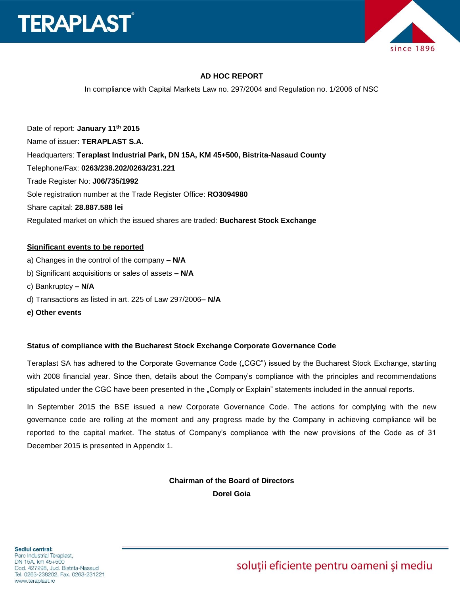



### **AD HOC REPORT**

In compliance with Capital Markets Law no. 297/2004 and Regulation no. 1/2006 of NSC

Date of report: **January 11th 2015** Name of issuer: **TERAPLAST S.A.**  Headquarters: **Teraplast Industrial Park, DN 15A, KM 45+500, Bistrita-Nasaud County** Telephone/Fax: **0263/238.202/0263/231.221** Trade Register No: **J06/735/1992** Sole registration number at the Trade Register Office: **RO3094980** Share capital: **28.887.588 lei** Regulated market on which the issued shares are traded: **Bucharest Stock Exchange**

#### **Significant events to be reported**

- a) Changes in the control of the company **– N/A**
- b) Significant acquisitions or sales of assets **– N/A**
- c) Bankruptcy **– N/A**
- d) Transactions as listed in art. 225 of Law 297/2006**– N/A**
- **e) Other events**

#### **Status of compliance with the Bucharest Stock Exchange Corporate Governance Code**

Teraplast SA has adhered to the Corporate Governance Code ("CGC") issued by the Bucharest Stock Exchange, starting with 2008 financial year. Since then, details about the Company's compliance with the principles and recommendations stipulated under the CGC have been presented in the "Comply or Explain" statements included in the annual reports.

In September 2015 the BSE issued a new Corporate Governance Code. The actions for complying with the new governance code are rolling at the moment and any progress made by the Company in achieving compliance will be reported to the capital market. The status of Company's compliance with the new provisions of the Code as of 31 December 2015 is presented in Appendix 1.

> **Chairman of the Board of Directors Dorel Goia**

soluții eficiente pentru oameni și mediu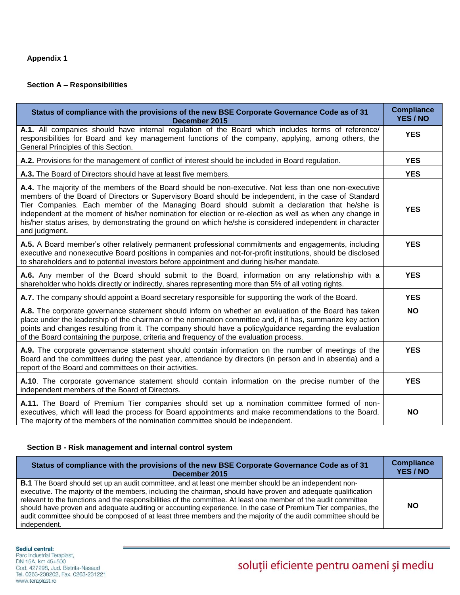#### **Appendix 1**

## **Section A – Responsibilities**

| Status of compliance with the provisions of the new BSE Corporate Governance Code as of 31<br>December 2015                                                                                                                                                                                                                                                                                                                                                                                                                                                | <b>Compliance</b><br>YES / NO |
|------------------------------------------------------------------------------------------------------------------------------------------------------------------------------------------------------------------------------------------------------------------------------------------------------------------------------------------------------------------------------------------------------------------------------------------------------------------------------------------------------------------------------------------------------------|-------------------------------|
| A.1. All companies should have internal regulation of the Board which includes terms of reference/<br>responsibilities for Board and key management functions of the company, applying, among others, the<br>General Principles of this Section.                                                                                                                                                                                                                                                                                                           | <b>YES</b>                    |
| A.2. Provisions for the management of conflict of interest should be included in Board regulation.                                                                                                                                                                                                                                                                                                                                                                                                                                                         | <b>YES</b>                    |
| A.3. The Board of Directors should have at least five members.                                                                                                                                                                                                                                                                                                                                                                                                                                                                                             | <b>YES</b>                    |
| A.4. The majority of the members of the Board should be non-executive. Not less than one non-executive<br>members of the Board of Directors or Supervisory Board should be independent, in the case of Standard<br>Tier Companies. Each member of the Managing Board should submit a declaration that he/she is<br>independent at the moment of his/her nomination for election or re-election as well as when any change in<br>his/her status arises, by demonstrating the ground on which he/she is considered independent in character<br>and judgment. | <b>YES</b>                    |
| A.5. A Board member's other relatively permanent professional commitments and engagements, including<br>executive and nonexecutive Board positions in companies and not-for-profit institutions, should be disclosed<br>to shareholders and to potential investors before appointment and during his/her mandate.                                                                                                                                                                                                                                          | <b>YES</b>                    |
| A.6. Any member of the Board should submit to the Board, information on any relationship with a<br>shareholder who holds directly or indirectly, shares representing more than 5% of all voting rights.                                                                                                                                                                                                                                                                                                                                                    | <b>YES</b>                    |
| A.7. The company should appoint a Board secretary responsible for supporting the work of the Board.                                                                                                                                                                                                                                                                                                                                                                                                                                                        | <b>YES</b>                    |
| A.8. The corporate governance statement should inform on whether an evaluation of the Board has taken<br>place under the leadership of the chairman or the nomination committee and, if it has, summarize key action<br>points and changes resulting from it. The company should have a policy/guidance regarding the evaluation<br>of the Board containing the purpose, criteria and frequency of the evaluation process.                                                                                                                                 | <b>NO</b>                     |
| A.9. The corporate governance statement should contain information on the number of meetings of the<br>Board and the committees during the past year, attendance by directors (in person and in absentia) and a<br>report of the Board and committees on their activities.                                                                                                                                                                                                                                                                                 | <b>YES</b>                    |
| A.10. The corporate governance statement should contain information on the precise number of the<br>independent members of the Board of Directors.                                                                                                                                                                                                                                                                                                                                                                                                         | <b>YES</b>                    |
| A.11. The Board of Premium Tier companies should set up a nomination committee formed of non-<br>executives, which will lead the process for Board appointments and make recommendations to the Board.<br>The majority of the members of the nomination committee should be independent.                                                                                                                                                                                                                                                                   | <b>NO</b>                     |

### **Section B - Risk management and internal control system**

| Status of compliance with the provisions of the new BSE Corporate Governance Code as of 31                                                                                                                                                                                                                                                                                                                                                                                                                                                                                                          | <b>Compliance</b> |
|-----------------------------------------------------------------------------------------------------------------------------------------------------------------------------------------------------------------------------------------------------------------------------------------------------------------------------------------------------------------------------------------------------------------------------------------------------------------------------------------------------------------------------------------------------------------------------------------------------|-------------------|
| December 2015                                                                                                                                                                                                                                                                                                                                                                                                                                                                                                                                                                                       | YES/NO            |
| <b>B.1</b> The Board should set up an audit committee, and at least one member should be an independent non-<br>executive. The majority of the members, including the chairman, should have proven and adequate qualification<br>relevant to the functions and the responsibilities of the committee. At least one member of the audit committee<br>should have proven and adequate auditing or accounting experience. In the case of Premium Tier companies, the<br>audit committee should be composed of at least three members and the majority of the audit committee should be<br>independent. | <b>NO</b>         |

Sediul central:

**Securi Centrai:**<br>Parc Industrial Teraplast,<br>DN 15A, km 45+500<br>Cod. 427298, Jud. Bistrita-Nasaud<br>Tel. 0263-238202, Fax. 0263-231221 www.teraplast.ro

# soluții eficiente pentru oameni și mediu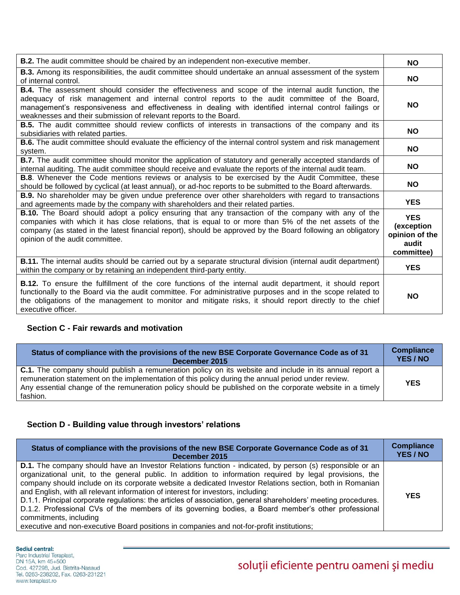| <b>B.2.</b> The audit committee should be chaired by an independent non-executive member.                                                                                                                                                                                                                                                                                                 | <b>NO</b>                                                         |
|-------------------------------------------------------------------------------------------------------------------------------------------------------------------------------------------------------------------------------------------------------------------------------------------------------------------------------------------------------------------------------------------|-------------------------------------------------------------------|
| <b>B.3.</b> Among its responsibilities, the audit committee should undertake an annual assessment of the system<br>of internal control.                                                                                                                                                                                                                                                   | <b>NO</b>                                                         |
| <b>B.4.</b> The assessment should consider the effectiveness and scope of the internal audit function, the<br>adequacy of risk management and internal control reports to the audit committee of the Board,<br>management's responsiveness and effectiveness in dealing with identified internal control failings or<br>weaknesses and their submission of relevant reports to the Board. | <b>NO</b>                                                         |
| <b>B.5.</b> The audit committee should review conflicts of interests in transactions of the company and its<br>subsidiaries with related parties.                                                                                                                                                                                                                                         | NO.                                                               |
| <b>B.6.</b> The audit committee should evaluate the efficiency of the internal control system and risk management<br>system.                                                                                                                                                                                                                                                              | <b>NO</b>                                                         |
| B.7. The audit committee should monitor the application of statutory and generally accepted standards of<br>internal auditing. The audit committee should receive and evaluate the reports of the internal audit team.                                                                                                                                                                    | <b>NO</b>                                                         |
| <b>B.8.</b> Whenever the Code mentions reviews or analysis to be exercised by the Audit Committee, these<br>should be followed by cyclical (at least annual), or ad-hoc reports to be submitted to the Board afterwards.                                                                                                                                                                  | <b>NO</b>                                                         |
| <b>B.9.</b> No shareholder may be given undue preference over other shareholders with regard to transactions<br>and agreements made by the company with shareholders and their related parties.                                                                                                                                                                                           | <b>YES</b>                                                        |
| <b>B.10.</b> The Board should adopt a policy ensuring that any transaction of the company with any of the<br>companies with which it has close relations, that is equal to or more than 5% of the net assets of the<br>company (as stated in the latest financial report), should be approved by the Board following an obligatory<br>opinion of the audit committee.                     | <b>YES</b><br>(exception<br>opinion of the<br>audit<br>committee) |
| <b>B.11.</b> The internal audits should be carried out by a separate structural division (internal audit department)<br>within the company or by retaining an independent third-party entity.                                                                                                                                                                                             | <b>YES</b>                                                        |
| <b>B.12.</b> To ensure the fulfillment of the core functions of the internal audit department, it should report<br>functionally to the Board via the audit committee. For administrative purposes and in the scope related to<br>the obligations of the management to monitor and mitigate risks, it should report directly to the chief<br>executive officer.                            | <b>NO</b>                                                         |

## **Section C - Fair rewards and motivation**

| Status of compliance with the provisions of the new BSE Corporate Governance Code as of 31                                                                                                                                                                                                                                                   | <b>Compliance</b> |
|----------------------------------------------------------------------------------------------------------------------------------------------------------------------------------------------------------------------------------------------------------------------------------------------------------------------------------------------|-------------------|
| December 2015                                                                                                                                                                                                                                                                                                                                | YES / NO          |
| <b>C.1.</b> The company should publish a remuneration policy on its website and include in its annual report a<br>remuneration statement on the implementation of this policy during the annual period under review.<br>Any essential change of the remuneration policy should be published on the corporate website in a timely<br>fashion. | <b>YES</b>        |

## **Section D - Building value through investors' relations**

| Status of compliance with the provisions of the new BSE Corporate Governance Code as of 31                                                                                                                                                                                                                                                                                                                                                                                                                                                                                                                                                                                                                                                                                  | <b>Compliance</b> |
|-----------------------------------------------------------------------------------------------------------------------------------------------------------------------------------------------------------------------------------------------------------------------------------------------------------------------------------------------------------------------------------------------------------------------------------------------------------------------------------------------------------------------------------------------------------------------------------------------------------------------------------------------------------------------------------------------------------------------------------------------------------------------------|-------------------|
| December 2015                                                                                                                                                                                                                                                                                                                                                                                                                                                                                                                                                                                                                                                                                                                                                               | YES / NO          |
| <b>D.1.</b> The company should have an Investor Relations function - indicated, by person (s) responsible or an<br>organizational unit, to the general public. In addition to information required by legal provisions, the<br>company should include on its corporate website a dedicated Investor Relations section, both in Romanian<br>and English, with all relevant information of interest for investors, including:<br>D.1.1. Principal corporate regulations: the articles of association, general shareholders' meeting procedures.<br>D.1.2. Professional CVs of the members of its governing bodies, a Board member's other professional<br>commitments, including<br>executive and non-executive Board positions in companies and not-for-profit institutions; | <b>YES</b>        |

Sediul central:

Parc Industrial Teraplast,<br>DN 15A, km 45+500 Cod. 427298, Jud. Bistrita-Nasaud<br>Tel. 0263-238202, Fax. 0263-231221 www.teraplast.ro

# soluții eficiente pentru oameni și mediu